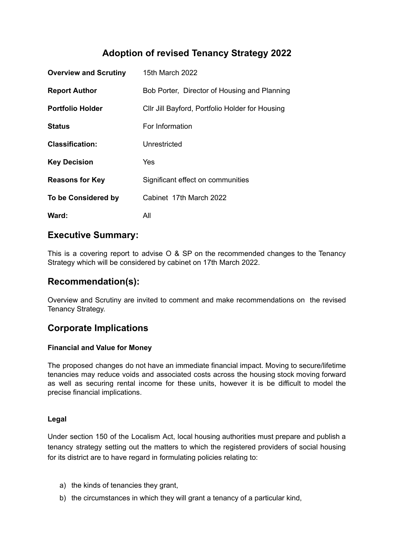# **Adoption of revised Tenancy Strategy 2022**

| <b>Overview and Scrutiny</b> | 15th March 2022                                 |
|------------------------------|-------------------------------------------------|
| <b>Report Author</b>         | Bob Porter, Director of Housing and Planning    |
| <b>Portfolio Holder</b>      | CIIr Jill Bayford, Portfolio Holder for Housing |
| <b>Status</b>                | For Information                                 |
| <b>Classification:</b>       | Unrestricted                                    |
| <b>Key Decision</b>          | Yes                                             |
| <b>Reasons for Key</b>       | Significant effect on communities               |
| To be Considered by          | Cabinet 17th March 2022                         |
| Ward:                        | All                                             |

### **Executive Summary:**

This is a covering report to advise O & SP on the recommended changes to the Tenancy Strategy which will be considered by cabinet on 17th March 2022.

## **Recommendation(s):**

Overview and Scrutiny are invited to comment and make recommendations on the revised Tenancy Strategy.

# **Corporate Implications**

### **Financial and Value for Money**

The proposed changes do not have an immediate financial impact. Moving to secure/lifetime tenancies may reduce voids and associated costs across the housing stock moving forward as well as securing rental income for these units, however it is be difficult to model the precise financial implications.

### **Legal**

Under section 150 of the Localism Act, local housing authorities must prepare and publish a tenancy strategy setting out the matters to which the registered providers of social housing for its district are to have regard in formulating policies relating to:

- a) the kinds of tenancies they grant,
- b) the circumstances in which they will grant a tenancy of a particular kind,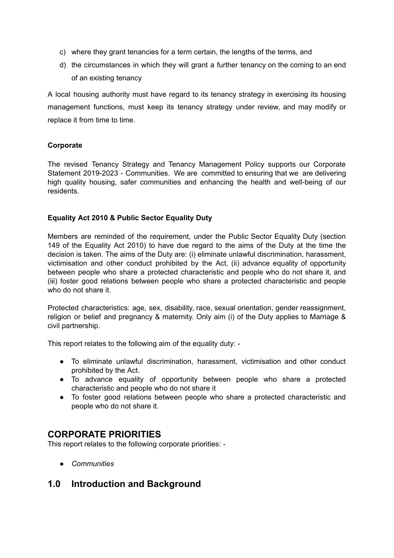- c) where they grant tenancies for a term certain, the lengths of the terms, and
- d) the circumstances in which they will grant a further tenancy on the coming to an end of an existing tenancy

A local housing authority must have regard to its tenancy strategy in exercising its housing management functions, must keep its tenancy strategy under review, and may modify or replace it from time to time.

### **Corporate**

The revised Tenancy Strategy and Tenancy Management Policy supports our Corporate Statement 2019-2023 - Communities. We are committed to ensuring that we are delivering high quality housing, safer communities and enhancing the health and well-being of our residents.

### **Equality Act 2010 & Public Sector Equality Duty**

Members are reminded of the requirement, under the Public Sector Equality Duty (section 149 of the Equality Act 2010) to have due regard to the aims of the Duty at the time the decision is taken. The aims of the Duty are: (i) eliminate unlawful discrimination, harassment, victimisation and other conduct prohibited by the Act, (ii) advance equality of opportunity between people who share a protected characteristic and people who do not share it, and (iii) foster good relations between people who share a protected characteristic and people who do not share it.

Protected characteristics: age, sex, disability, race, sexual orientation, gender reassignment, religion or belief and pregnancy & maternity. Only aim (i) of the Duty applies to Marriage & civil partnership.

This report relates to the following aim of the equality duty: -

- To eliminate unlawful discrimination, harassment, victimisation and other conduct prohibited by the Act.
- To advance equality of opportunity between people who share a protected characteristic and people who do not share it
- To foster good relations between people who share a protected characteristic and people who do not share it.

# **CORPORATE PRIORITIES**

This report relates to the following corporate priorities: -

*● Communities*

# **1.0 Introduction and Background**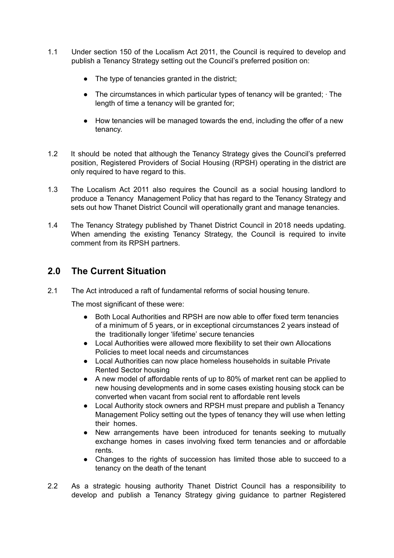- 1.1 Under section 150 of the Localism Act 2011, the Council is required to develop and publish a Tenancy Strategy setting out the Council's preferred position on:
	- The type of tenancies granted in the district;
	- The circumstances in which particular types of tenancy will be granted; ∙ The length of time a tenancy will be granted for;
	- How tenancies will be managed towards the end, including the offer of a new tenancy.
- 1.2 It should be noted that although the Tenancy Strategy gives the Council's preferred position, Registered Providers of Social Housing (RPSH) operating in the district are only required to have regard to this.
- 1.3 The Localism Act 2011 also requires the Council as a social housing landlord to produce a Tenancy Management Policy that has regard to the Tenancy Strategy and sets out how Thanet District Council will operationally grant and manage tenancies.
- 1.4 The Tenancy Strategy published by Thanet District Council in 2018 needs updating. When amending the existing Tenancy Strategy, the Council is required to invite comment from its RPSH partners.

## **2.0 The Current Situation**

2.1 The Act introduced a raft of fundamental reforms of social housing tenure.

The most significant of these were:

- Both Local Authorities and RPSH are now able to offer fixed term tenancies of a minimum of 5 years, or in exceptional circumstances 2 years instead of the traditionally longer 'lifetime' secure tenancies
- Local Authorities were allowed more flexibility to set their own Allocations Policies to meet local needs and circumstances
- Local Authorities can now place homeless households in suitable Private Rented Sector housing
- A new model of affordable rents of up to 80% of market rent can be applied to new housing developments and in some cases existing housing stock can be converted when vacant from social rent to affordable rent levels
- Local Authority stock owners and RPSH must prepare and publish a Tenancy Management Policy setting out the types of tenancy they will use when letting their homes.
- New arrangements have been introduced for tenants seeking to mutually exchange homes in cases involving fixed term tenancies and or affordable rents.
- Changes to the rights of succession has limited those able to succeed to a tenancy on the death of the tenant
- 2.2 As a strategic housing authority Thanet District Council has a responsibility to develop and publish a Tenancy Strategy giving guidance to partner Registered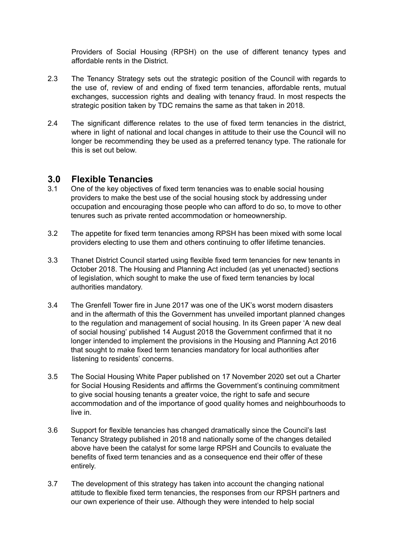Providers of Social Housing (RPSH) on the use of different tenancy types and affordable rents in the District.

- 2.3 The Tenancy Strategy sets out the strategic position of the Council with regards to the use of, review of and ending of fixed term tenancies, affordable rents, mutual exchanges, succession rights and dealing with tenancy fraud. In most respects the strategic position taken by TDC remains the same as that taken in 2018.
- 2.4 The significant difference relates to the use of fixed term tenancies in the district, where in light of national and local changes in attitude to their use the Council will no longer be recommending they be used as a preferred tenancy type. The rationale for this is set out below.

### **3.0 Flexible Tenancies**

- 3.1 One of the key objectives of fixed term tenancies was to enable social housing providers to make the best use of the social housing stock by addressing under occupation and encouraging those people who can afford to do so, to move to other tenures such as private rented accommodation or homeownership.
- 3.2 The appetite for fixed term tenancies among RPSH has been mixed with some local providers electing to use them and others continuing to offer lifetime tenancies.
- 3.3 Thanet District Council started using flexible fixed term tenancies for new tenants in October 2018. The Housing and Planning Act included (as yet unenacted) sections of legislation, which sought to make the use of fixed term tenancies by local authorities mandatory.
- 3.4 The Grenfell Tower fire in June 2017 was one of the UK's worst modern disasters and in the aftermath of this the Government has unveiled important planned changes to the regulation and management of social housing. In its Green paper 'A new deal of social housing' published 14 August 2018 the Government confirmed that it no longer intended to implement the provisions in the Housing and Planning Act 2016 that sought to make fixed term tenancies mandatory for local authorities after listening to residents' concerns.
- 3.5 The Social Housing White Paper published on 17 November 2020 set out a Charter for Social Housing Residents and affirms the Government's continuing commitment to give social housing tenants a greater voice, the right to safe and secure accommodation and of the importance of good quality homes and neighbourhoods to live in.
- 3.6 Support for flexible tenancies has changed dramatically since the Council's last Tenancy Strategy published in 2018 and nationally some of the changes detailed above have been the catalyst for some large RPSH and Councils to evaluate the benefits of fixed term tenancies and as a consequence end their offer of these entirely.
- 3.7 The development of this strategy has taken into account the changing national attitude to flexible fixed term tenancies, the responses from our RPSH partners and our own experience of their use. Although they were intended to help social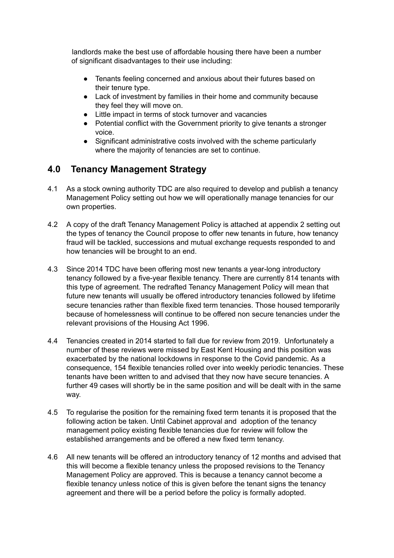landlords make the best use of affordable housing there have been a number of significant disadvantages to their use including:

- Tenants feeling concerned and anxious about their futures based on their tenure type.
- Lack of investment by families in their home and community because they feel they will move on.
- Little impact in terms of stock turnover and vacancies
- Potential conflict with the Government priority to give tenants a stronger voice.
- Significant administrative costs involved with the scheme particularly where the majority of tenancies are set to continue.

## **4.0 Tenancy Management Strategy**

- 4.1 As a stock owning authority TDC are also required to develop and publish a tenancy Management Policy setting out how we will operationally manage tenancies for our own properties.
- 4.2 A copy of the draft Tenancy Management Policy is attached at appendix 2 setting out the types of tenancy the Council propose to offer new tenants in future, how tenancy fraud will be tackled, successions and mutual exchange requests responded to and how tenancies will be brought to an end.
- 4.3 Since 2014 TDC have been offering most new tenants a year-long introductory tenancy followed by a five-year flexible tenancy. There are currently 814 tenants with this type of agreement. The redrafted Tenancy Management Policy will mean that future new tenants will usually be offered introductory tenancies followed by lifetime secure tenancies rather than flexible fixed term tenancies. Those housed temporarily because of homelessness will continue to be offered non secure tenancies under the relevant provisions of the Housing Act 1996.
- 4.4 Tenancies created in 2014 started to fall due for review from 2019. Unfortunately a number of these reviews were missed by East Kent Housing and this position was exacerbated by the national lockdowns in response to the Covid pandemic. As a consequence, 154 flexible tenancies rolled over into weekly periodic tenancies. These tenants have been written to and advised that they now have secure tenancies. A further 49 cases will shortly be in the same position and will be dealt with in the same way.
- 4.5 To regularise the position for the remaining fixed term tenants it is proposed that the following action be taken. Until Cabinet approval and adoption of the tenancy management policy existing flexible tenancies due for review will follow the established arrangements and be offered a new fixed term tenancy.
- 4.6 All new tenants will be offered an introductory tenancy of 12 months and advised that this will become a flexible tenancy unless the proposed revisions to the Tenancy Management Policy are approved. This is because a tenancy cannot become a flexible tenancy unless notice of this is given before the tenant signs the tenancy agreement and there will be a period before the policy is formally adopted.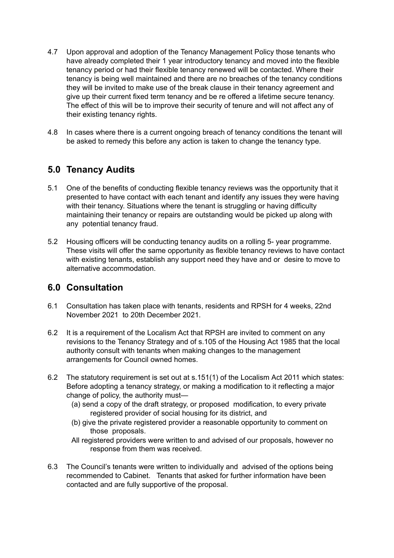- 4.7 Upon approval and adoption of the Tenancy Management Policy those tenants who have already completed their 1 year introductory tenancy and moved into the flexible tenancy period or had their flexible tenancy renewed will be contacted. Where their tenancy is being well maintained and there are no breaches of the tenancy conditions they will be invited to make use of the break clause in their tenancy agreement and give up their current fixed term tenancy and be re offered a lifetime secure tenancy. The effect of this will be to improve their security of tenure and will not affect any of their existing tenancy rights.
- 4.8 In cases where there is a current ongoing breach of tenancy conditions the tenant will be asked to remedy this before any action is taken to change the tenancy type.

### **5.0 Tenancy Audits**

- 5.1 One of the benefits of conducting flexible tenancy reviews was the opportunity that it presented to have contact with each tenant and identify any issues they were having with their tenancy. Situations where the tenant is struggling or having difficulty maintaining their tenancy or repairs are outstanding would be picked up along with any potential tenancy fraud.
- 5.2 Housing officers will be conducting tenancy audits on a rolling 5- year programme. These visits will offer the same opportunity as flexible tenancy reviews to have contact with existing tenants, establish any support need they have and or desire to move to alternative accommodation.

# **6.0 Consultation**

- 6.1 Consultation has taken place with tenants, residents and RPSH for 4 weeks, 22nd November 2021 to 20th December 2021.
- 6.2 It is a requirement of the Localism Act that RPSH are invited to comment on any revisions to the Tenancy Strategy and of s.105 of the Housing Act 1985 that the local authority consult with tenants when making changes to the management arrangements for Council owned homes.
- 6.2 The statutory requirement is set out at s.151(1) of the Localism Act 2011 which states: Before adopting a tenancy strategy, or making a modification to it reflecting a major change of policy, the authority must—
	- (a) send a copy of the draft strategy, or proposed modification, to every private registered provider of social housing for its district, and
	- (b) give the private registered provider a reasonable opportunity to comment on those proposals.
	- All registered providers were written to and advised of our proposals, however no response from them was received.
- 6.3 The Council's tenants were written to individually and advised of the options being recommended to Cabinet. Tenants that asked for further information have been contacted and are fully supportive of the proposal.